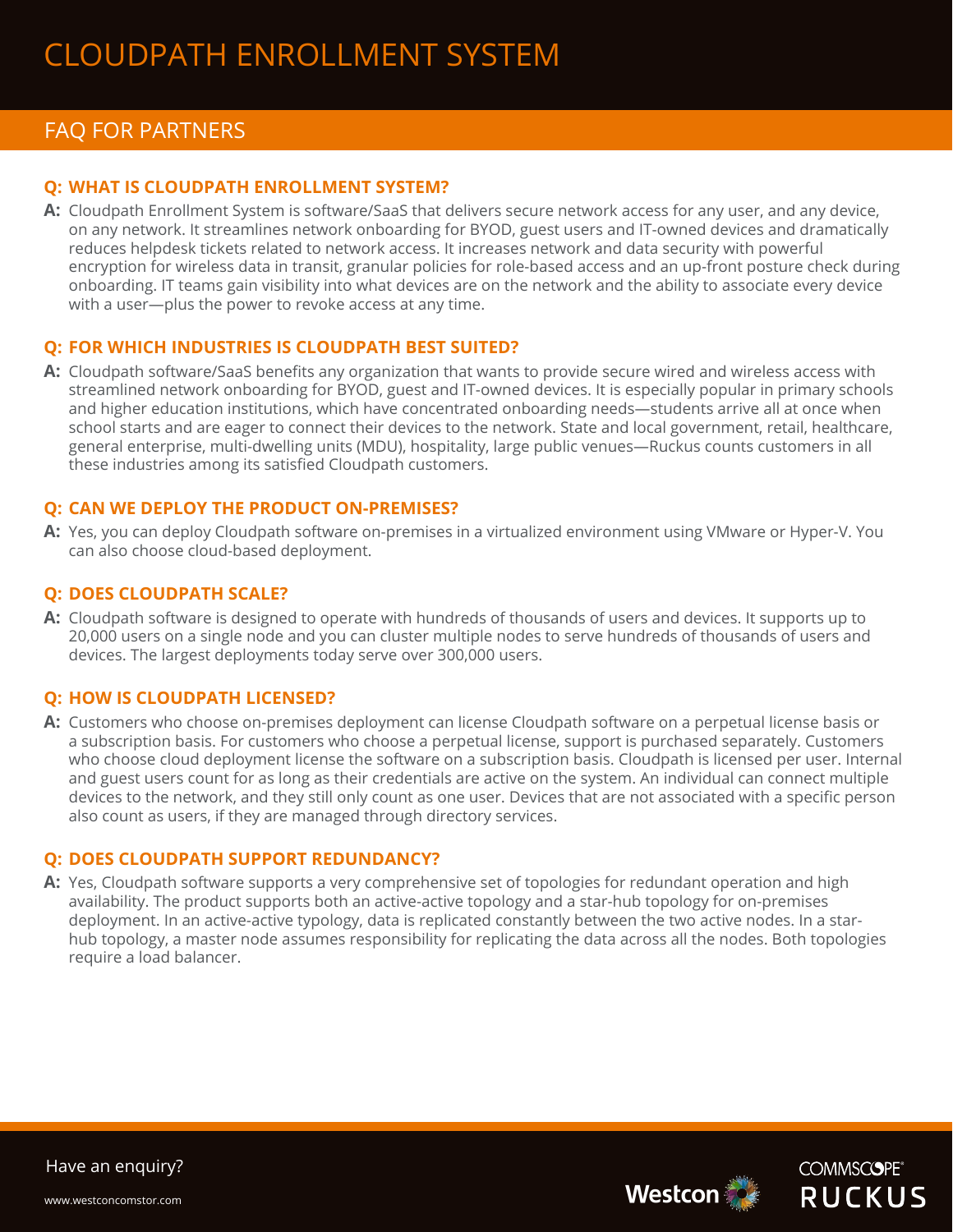# FAQ FOR PARTNERS

## **Q: WHAT IS CLOUDPATH ENROLLMENT SYSTEM?**

**AA:** Cloudpath Enrollment System is software/SaaS that delivers secure network access for any user, and any device, on any network. It streamlines network onboarding for BYOD, guest users and IT-owned devices and dramatically reduces helpdesk tickets related to network access. It increases network and data security with powerful encryption for wireless data in transit, granular policies for role-based access and an up-front posture check during onboarding. IT teams gain visibility into what devices are on the network and the ability to associate every device with a user—plus the power to revoke access at any time.

#### **Q: FOR WHICH INDUSTRIES IS CLOUDPATH BEST SUITED?**

**AA:** Cloudpath software/SaaS benefits any organization that wants to provide secure wired and wireless access with streamlined network onboarding for BYOD, guest and IT-owned devices. It is especially popular in primary schools and higher education institutions, which have concentrated onboarding needs—students arrive all at once when school starts and are eager to connect their devices to the network. State and local government, retail, healthcare, general enterprise, multi-dwelling units (MDU), hospitality, large public venues—Ruckus counts customers in all these industries among its satisfied Cloudpath customers.

#### **Q: CAN WE DEPLOY THE PRODUCT ON-PREMISES?**

**AA:** Yes, you can deploy Cloudpath software on-premises in a virtualized environment using VMware or Hyper-V. You can also choose cloud-based deployment.

### **Q: DOES CLOUDPATH SCALE?**

**AA:** Cloudpath software is designed to operate with hundreds of thousands of users and devices. It supports up to 20,000 users on a single node and you can cluster multiple nodes to serve hundreds of thousands of users and devices. The largest deployments today serve over 300,000 users.

#### **Q: HOW IS CLOUDPATH LICENSED?**

**AA:** Customers who choose on-premises deployment can license Cloudpath software on a perpetual license basis or a subscription basis. For customers who choose a perpetual license, support is purchased separately. Customers who choose cloud deployment license the software on a subscription basis. Cloudpath is licensed per user. Internal and guest users count for as long as their credentials are active on the system. An individual can connect multiple devices to the network, and they still only count as one user. Devices that are not associated with a specific person also count as users, if they are managed through directory services.

#### **Q: DOES CLOUDPATH SUPPORT REDUNDANCY?**

**AA:** Yes, Cloudpath software supports a very comprehensive set of topologies for redundant operation and high availability. The product supports both an active-active topology and a star-hub topology for on-premises deployment. In an active-active typology, data is replicated constantly between the two active nodes. In a starhub topology, a master node assumes responsibility for replicating the data across all the nodes. Both topologies require a load balancer.





Have an enquiry?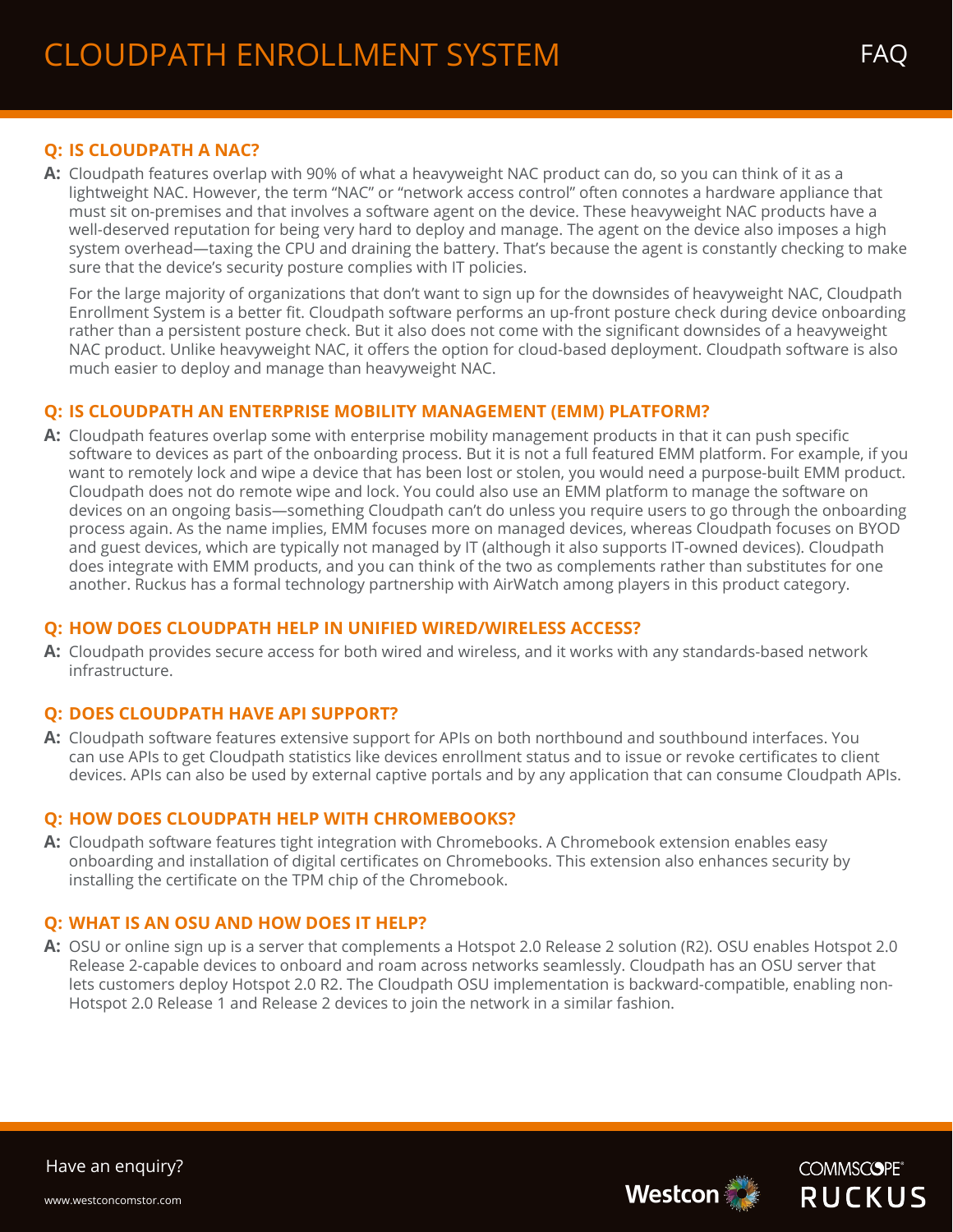# **Q: IS CLOUDPATH A NAC?**

**AA:** Cloudpath features overlap with 90% of what a heavyweight NAC product can do, so you can think of it as a lightweight NAC. However, the term "NAC" or "network access control" often connotes a hardware appliance that must sit on-premises and that involves a software agent on the device. These heavyweight NAC products have a well-deserved reputation for being very hard to deploy and manage. The agent on the device also imposes a high system overhead—taxing the CPU and draining the battery. That's because the agent is constantly checking to make sure that the device's security posture complies with IT policies.

For the large majority of organizations that don't want to sign up for the downsides of heavyweight NAC, Cloudpath Enrollment System is a better fit. Cloudpath software performs an up-front posture check during device onboarding rather than a persistent posture check. But it also does not come with the significant downsides of a heavyweight NAC product. Unlike heavyweight NAC, it offers the option for cloud-based deployment. Cloudpath software is also much easier to deploy and manage than heavyweight NAC.

#### **QQ: IS CLOUDPATH AN ENTERPRISE MOBILITY MANAGEMENT (EMM) PLATFORM?**

**AA:** Cloudpath features overlap some with enterprise mobility management products in that it can push specific software to devices as part of the onboarding process. But it is not a full featured EMM platform. For example, if you want to remotely lock and wipe a device that has been lost or stolen, you would need a purpose-built EMM product. Cloudpath does not do remote wipe and lock. You could also use an EMM platform to manage the software on devices on an ongoing basis—something Cloudpath can't do unless you require users to go through the onboarding process again. As the name implies, EMM focuses more on managed devices, whereas Cloudpath focuses on BYOD and guest devices, which are typically not managed by IT (although it also supports IT-owned devices). Cloudpath does integrate with EMM products, and you can think of the two as complements rather than substitutes for one another. Ruckus has a formal technology partnership with AirWatch among players in this product category.

## **QQ: HOW DOES CLOUDPATH HELP IN UNIFIED WIRED/WIRELESS ACCESS?**

**AA:** Cloudpath provides secure access for both wired and wireless, and it works with any standards-based network infrastructure.

## **Q: DOES CLOUDPATH HAVE API SUPPORT?**

**AA:** Cloudpath software features extensive support for APIs on both northbound and southbound interfaces. You can use APIs to get Cloudpath statistics like devices enrollment status and to issue or revoke certificates to client devices. APIs can also be used by external captive portals and by any application that can consume Cloudpath APIs.

## **Q: HOW DOES CLOUDPATH HELP WITH CHROMEBOOKS?**

A: Cloudpath software features tight integration with Chromebooks. A Chromebook extension enables easy onboarding and installation of digital certificates on Chromebooks. This extension also enhances security by installing the certificate on the TPM chip of the Chromebook.

## **Q: WHAT IS AN OSU AND HOW DOES IT HELP?**

**AA:** OSU or online sign up is a server that complements a Hotspot 2.0 Release 2 solution (R2). OSU enables Hotspot 2.0 Release 2-capable devices to onboard and roam across networks seamlessly. Cloudpath has an OSU server that lets customers deploy Hotspot 2.0 R2. The Cloudpath OSU implementation is backward-compatible, enabling non-Hotspot 2.0 Release 1 and Release 2 devices to join the network in a similar fashion.





Have an enquiry?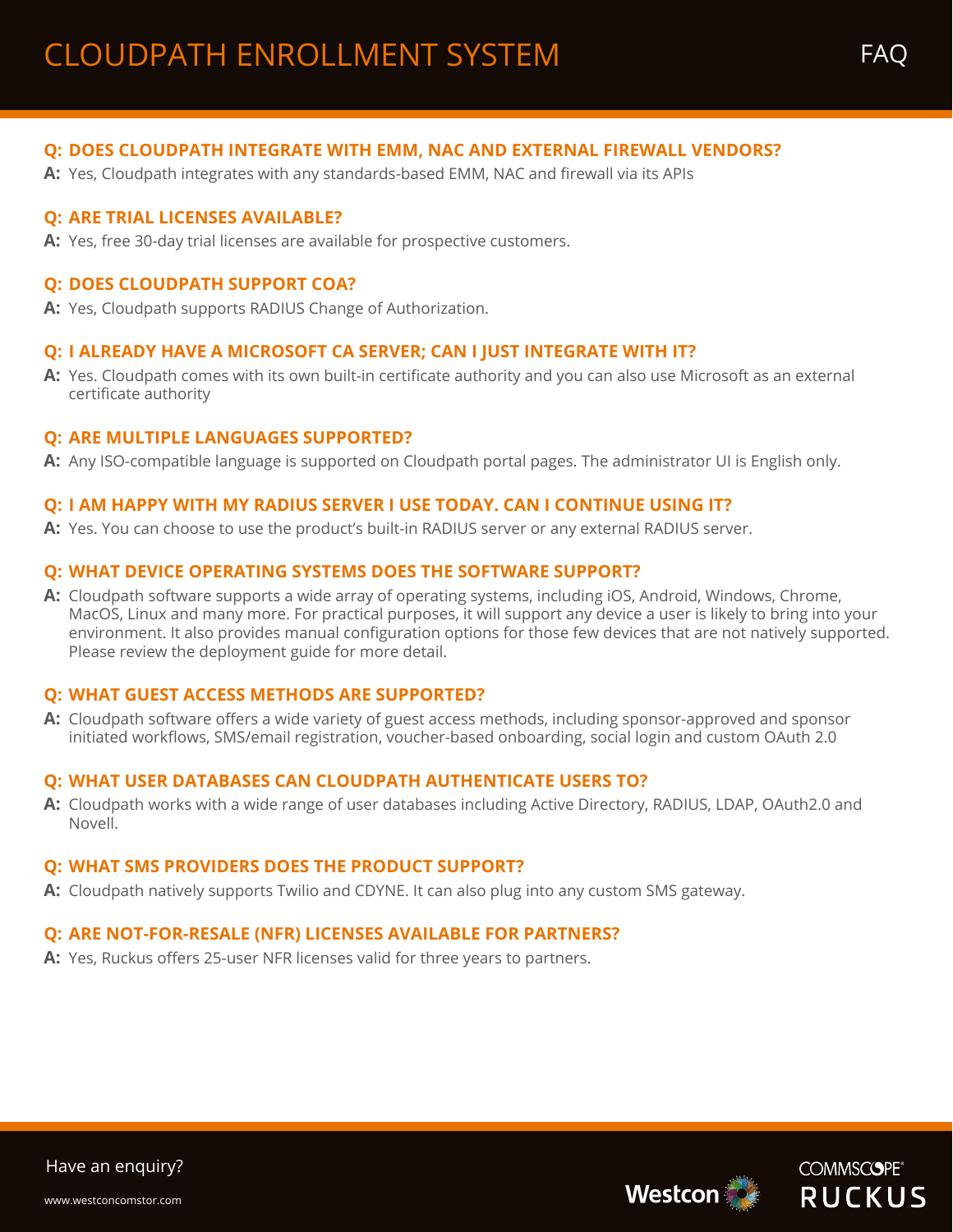# **QQ: DOES CLOUDPATH INTEGRATE WITH EMM, NAC AND EXTERNAL FIREWALL VENDORS?**

**AA:** Yes, Cloudpath integrates with any standards-based EMM, NAC and firewall via its APIs

#### **Q: ARE TRIAL LICENSES AVAILABLE?**

A: Yes, free 30-day trial licenses are available for prospective customers.

#### **Q: DOES CLOUDPATH SUPPORT COA?**

A: Yes, Cloudpath supports RADIUS Change of Authorization.

#### **QQ: I ALREADY HAVE A MICROSOFT CA SERVER; CAN I JUST INTEGRATE WITH IT?**

**AA:** Yes. Cloudpath comes with its own built-in certificate authority and you can also use Microsoft as an external certificate authority

#### **Q: ARE MULTIPLE LANGUAGES SUPPORTED?**

**AA:** Any ISO-compatible language is supported on Cloudpath portal pages. The administrator UI is English only.

#### **QQ: I AM HAPPY WITH MY RADIUS SERVER I USE TODAY. CAN I CONTINUE USING IT?**

A: Yes. You can choose to use the product's built-in RADIUS server or any external RADIUS server.

#### **Q: WHAT DEVICE OPERATING SYSTEMS DOES THE SOFTWARE SUPPORT?**

**AA:** Cloudpath software supports a wide array of operating systems, including iOS, Android, Windows, Chrome, MacOS, Linux and many more. For practical purposes, it will support any device a user is likely to bring into your environment. It also provides manual configuration options for those few devices that are not natively supported. Please review the deployment guide for more detail.

#### **Q: WHAT GUEST ACCESS METHODS ARE SUPPORTED?**

**AA:** Cloudpath software offers a wide variety of guest access methods, including sponsor-approved and sponsor initiated workflows, SMS/email registration, voucher-based onboarding, social login and custom OAuth 2.0

#### **QQ: WHAT USER DATABASES CAN CLOUDPATH AUTHENTICATE USERS TO?**

**AA:** Cloudpath works with a wide range of user databases including Active Directory, RADIUS, LDAP, OAuth2.0 and Novell.

#### **Q: WHAT SMS PROVIDERS DOES THE PRODUCT SUPPORT?**

**AA:** Cloudpath natively supports Twilio and CDYNE. It can also plug into any custom SMS gateway.

# **Q: ARE NOT-FOR-RESALE (NFR) LICENSES AVAILABLE FOR PARTNERS?**

**AA:** Yes, Ruckus offers 25-user NFR licenses valid for three years to partners.